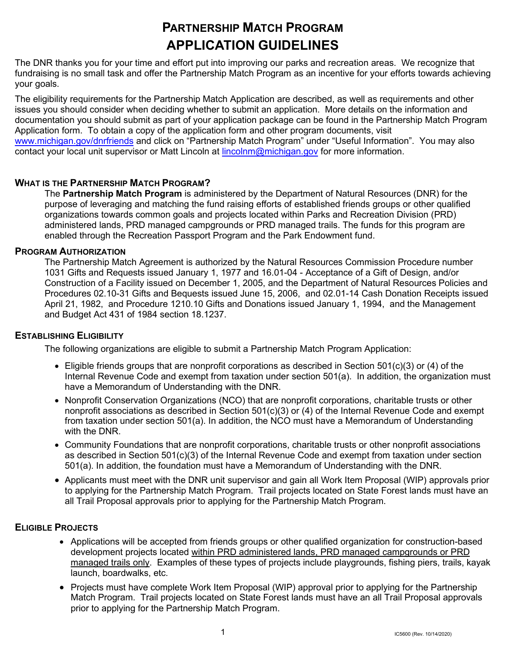# **PARTNERSHIP MATCH PROGRAM APPLICATION GUIDELINES**

The DNR thanks you for your time and effort put into improving our parks and recreation areas. We recognize that fundraising is no small task and offer the Partnership Match Program as an incentive for your efforts towards achieving your goals.

The eligibility requirements for the Partnership Match Application are described, as well as requirements and other issues you should consider when deciding whether to submit an application. More details on the information and documentation you should submit as part of your application package can be found in the Partnership Match Program Application form. To obtain a copy of the application form and other program documents, visit [www.michigan.gov/dnrfriends](http://www.michigan.gov/dnrfriends) and click on "Partnership Match Program" under "Useful Information". You may also contact your local unit supervisor or Matt Lincoln at **lincolnm@michigan.gov** for more information.

# **WHAT IS THE PARTNERSHIP MATCH PROGRAM?**

The **Partnership Match Program** is administered by the Department of Natural Resources (DNR) for the purpose of leveraging and matching the fund raising efforts of established friends groups or other qualified organizations towards common goals and projects located within Parks and Recreation Division (PRD) administered lands, PRD managed campgrounds or PRD managed trails. The funds for this program are enabled through the Recreation Passport Program and the Park Endowment fund.

# **PROGRAM AUTHORIZATION**

The Partnership Match Agreement is authorized by the Natural Resources Commission Procedure number 1031 Gifts and Requests issued January 1, 1977 and 16.01-04 - Acceptance of a Gift of Design, and/or Construction of a Facility issued on December 1, 2005, and the Department of Natural Resources Policies and Procedures 02.10-31 Gifts and Bequests issued June 15, 2006, and 02.01-14 Cash Donation Receipts issued April 21, 1982, and Procedure 1210.10 Gifts and Donations issued January 1, 1994, and the Management and Budget Act 431 of 1984 section 18.1237.

# **ESTABLISHING ELIGIBILITY**

The following organizations are eligible to submit a Partnership Match Program Application:

- Eligible friends groups that are nonprofit corporations as described in Section 501(c)(3) or (4) of the Internal Revenue Code and exempt from taxation under section 501(a). In addition, the organization must have a Memorandum of Understanding with the DNR.
- Nonprofit Conservation Organizations (NCO) that are nonprofit corporations, charitable trusts or other nonprofit associations as described in Section 501(c)(3) or (4) of the Internal Revenue Code and exempt from taxation under section 501(a). In addition, the NCO must have a Memorandum of Understanding with the DNR.
- Community Foundations that are nonprofit corporations, charitable trusts or other nonprofit associations as described in Section 501(c)(3) of the Internal Revenue Code and exempt from taxation under section 501(a). In addition, the foundation must have a Memorandum of Understanding with the DNR.
- Applicants must meet with the DNR unit supervisor and gain all Work Item Proposal (WIP) approvals prior to applying for the Partnership Match Program. Trail projects located on State Forest lands must have an all Trail Proposal approvals prior to applying for the Partnership Match Program.

# **ELIGIBLE PROJECTS**

- Applications will be accepted from friends groups or other qualified organization for construction-based development projects located within PRD administered lands, PRD managed campgrounds or PRD managed trails only. Examples of these types of projects include playgrounds, fishing piers, trails, kayak launch, boardwalks, etc.
- Projects must have complete Work Item Proposal (WIP) approval prior to applying for the Partnership Match Program. Trail projects located on State Forest lands must have an all Trail Proposal approvals prior to applying for the Partnership Match Program.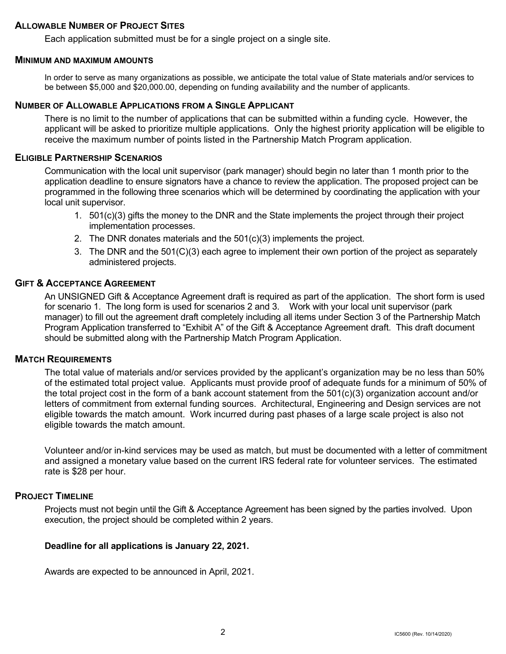#### **ALLOWABLE NUMBER OF PROJECT SITES**

Each application submitted must be for a single project on a single site.

#### **MINIMUM AND MAXIMUM AMOUNTS**

In order to serve as many organizations as possible, we anticipate the total value of State materials and/or services to be between \$5,000 and \$20,000.00, depending on funding availability and the number of applicants.

# **NUMBER OF ALLOWABLE APPLICATIONS FROM A SINGLE APPLICANT**

There is no limit to the number of applications that can be submitted within a funding cycle. However, the applicant will be asked to prioritize multiple applications. Only the highest priority application will be eligible to receive the maximum number of points listed in the Partnership Match Program application.

#### **ELIGIBLE PARTNERSHIP SCENARIOS**

Communication with the local unit supervisor (park manager) should begin no later than 1 month prior to the application deadline to ensure signators have a chance to review the application. The proposed project can be programmed in the following three scenarios which will be determined by coordinating the application with your local unit supervisor.

- 1. 501(c)(3) gifts the money to the DNR and the State implements the project through their project implementation processes.
- 2. The DNR donates materials and the  $501(c)(3)$  implements the project.
- 3. The DNR and the 501(C)(3) each agree to implement their own portion of the project as separately administered projects.

#### **GIFT & ACCEPTANCE AGREEMENT**

An UNSIGNED Gift & Acceptance Agreement draft is required as part of the application. The short form is used for scenario 1. The long form is used for scenarios 2 and 3. Work with your local unit supervisor (park manager) to fill out the agreement draft completely including all items under Section 3 of the Partnership Match Program Application transferred to "Exhibit A" of the Gift & Acceptance Agreement draft. This draft document should be submitted along with the Partnership Match Program Application.

## **MATCH REQUIREMENTS**

The total value of materials and/or services provided by the applicant's organization may be no less than 50% of the estimated total project value. Applicants must provide proof of adequate funds for a minimum of 50% of the total project cost in the form of a bank account statement from the 501(c)(3) organization account and/or letters of commitment from external funding sources. Architectural, Engineering and Design services are not eligible towards the match amount. Work incurred during past phases of a large scale project is also not eligible towards the match amount.

Volunteer and/or in-kind services may be used as match, but must be documented with a letter of commitment and assigned a monetary value based on the current IRS federal rate for volunteer services. The estimated rate is \$28 per hour.

# **PROJECT TIMELINE**

Projects must not begin until the Gift & Acceptance Agreement has been signed by the parties involved. Upon execution, the project should be completed within 2 years.

#### **Deadline for all applications is January 22, 2021.**

Awards are expected to be announced in April, 2021.